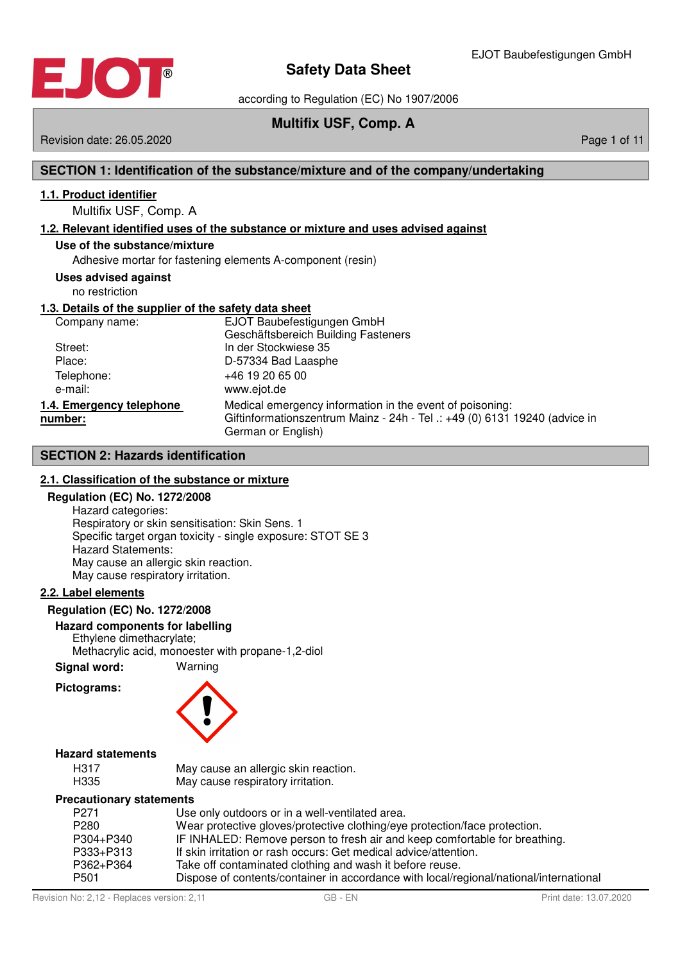

according to Regulation (EC) No 1907/2006

## **Multifix USF, Comp. A**

Revision date: 26.05.2020 **Page 1 of 11** New York 2012 12:00 Page 1 of 11

## **SECTION 1: Identification of the substance/mixture and of the company/undertaking**

#### **1 . 1 . Product identifier**

Multifix USF, Comp. A

#### **1 . 2 . Relevant identified uses of the substance or mixture and uses advised against**

#### **Use of the substance/mixture**

Adhesive mortar for fastening elements A-component (resin)

#### **Uses advised against**

no restriction

#### **1 . 3 . Details of the supplier of the safety data sheet**

| Company name:                       | EJOT Baubefestigungen GmbH<br>Geschäftsbereich Building Fasteners                                                                                            |
|-------------------------------------|--------------------------------------------------------------------------------------------------------------------------------------------------------------|
| Street:                             | In der Stockwiese 35                                                                                                                                         |
| Place:                              | D-57334 Bad Laasphe                                                                                                                                          |
| Telephone:<br>e-mail:               | +46 19 20 65 00<br>www.ejot.de                                                                                                                               |
| 1.4. Emergency telephone<br>number: | Medical emergency information in the event of poisoning:<br>Giftinformationszentrum Mainz - 24h - Tel .: +49 (0) 6131 19240 (advice in<br>German or English) |

#### **SECTION 2: Hazards identification**

#### **2 . 1 . Classification of the substance or mixture**

#### **Regulation (EC) No. 1272/2008**

Hazard categories: Respiratory or skin sensitisation: Skin Sens. 1 Specific target organ toxicity - single exposure: STOT SE 3 Hazard Statements: May cause an allergic skin reaction. May cause respiratory irritation.

#### **2 . 2 . Label elements**

#### **Regulation (EC) No. 1272/2008**

#### **Hazard components for labelling**

Ethylene dimethacrylate; Methacrylic acid, monoester with propane-1,2-diol

**Signal word:** Warning

#### **Pictograms:**



#### **Hazard statements**

| H317 | May cause an allergic skin reaction. |
|------|--------------------------------------|
| H335 | May cause respiratory irritation.    |

#### **Precautionary statements**

| P <sub>271</sub> | Use only outdoors or in a well-ventilated area.                                        |
|------------------|----------------------------------------------------------------------------------------|
| P <sub>280</sub> | Wear protective gloves/protective clothing/eye protection/face protection.             |
| P304+P340        | IF INHALED: Remove person to fresh air and keep comfortable for breathing.             |
| P333+P313        | If skin irritation or rash occurs: Get medical advice/attention.                       |
| P362+P364        | Take off contaminated clothing and wash it before reuse.                               |
| P <sub>501</sub> | Dispose of contents/container in accordance with local/regional/national/international |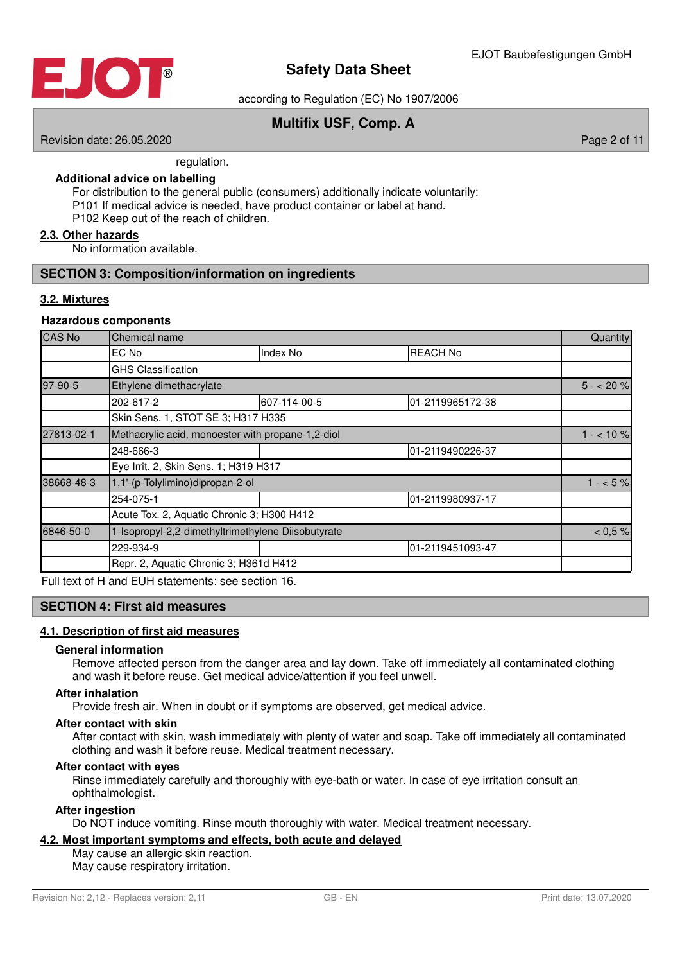

according to Regulation (EC) No 1907/2006

## **Multifix USF, Comp. A**

Revision date: 26.05.2020 **Page 2 of 11** No. 2020 **Page 2 of 11** No. 2020 **Page 2 of 11** 

regulation.

#### **Additional advice on labelling**

For distribution to the general public (consumers) additionally indicate voluntarily: P101 If medical advice is needed, have product container or label at hand. P102 Keep out of the reach of children.

#### **2 . 3 . Other hazards**

No information available.

#### **SECTION 3: Composition/information on ingredients**

#### **3 . 2 . Mixtures**

#### **Hazardous components**

| $5 - 20%$        |
|------------------|
| 01-2119965172-38 |
|                  |
| $1 - 10\%$       |
| 01-2119490226-37 |
|                  |
| $1 - 5\%$        |
| 01-2119980937-17 |
|                  |
| $< 0.5 \%$       |
| 01-2119451093-47 |
|                  |
|                  |

Full text of H and EUH statements: see section 16.

#### **SECTION 4: First aid measures**

#### **4 . 1 . Description of first aid measures**

#### **General information**

Remove affected person from the danger area and lay down. Take off immediately all contaminated clothing and wash it before reuse. Get medical advice/attention if you feel unwell.

#### **After inhalation**

Provide fresh air. When in doubt or if symptoms are observed, get medical advice.

#### **After contact with skin**

After contact with skin, wash immediately with plenty of water and soap. Take off immediately all contaminated clothing and wash it before reuse. Medical treatment necessary.

#### **After contact with eyes**

Rinse immediately carefully and thoroughly with eye-bath or water. In case of eye irritation consult an ophthalmologist.

#### **After ingestion**

Do NOT induce vomiting. Rinse mouth thoroughly with water. Medical treatment necessary.

#### **4 . 2 . Most important symptoms and effects , both acute and delayed**

May cause an allergic skin reaction.

May cause respiratory irritation.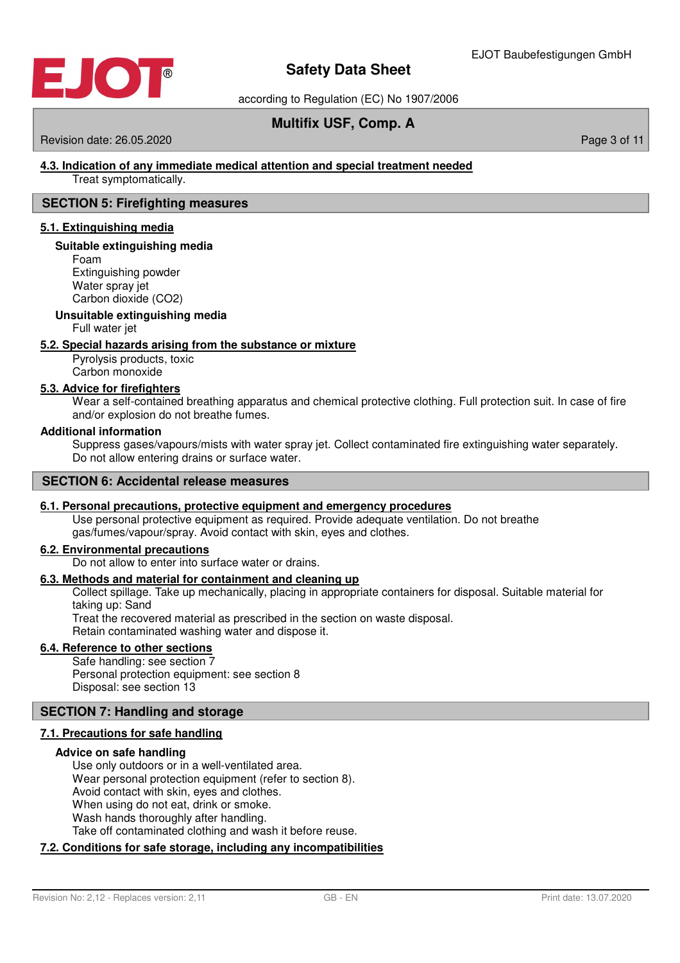

according to Regulation (EC) No 1907/2006

## **Multifix USF, Comp. A**

#### Revision date: 26.05.2020 **Page 3 of 11** New York 2012 12:00 Page 3 of 11

### **4 . 3 . Indication of any immediate medical attention and special treatment needed**

Treat symptomatically.

#### **SECTION 5: Firefighting measures**

#### **5 . 1 . Extinguishing media**

#### **Suitable extinguishing media**

Foam Extinguishing powder Water sprav jet Carbon dioxide (CO2)

#### **Unsuitable extinguishing media**

Full water jet

#### **5 . 2 . Special hazards arising from the substance or mixture**

Pyrolysis products, toxic Carbon monoxide

#### **5 . 3 . Advice for firefighters**

Wear a self-contained breathing apparatus and chemical protective clothing. Full protection suit. In case of fire and/or explosion do not breathe fumes.

#### **Additional information**

Suppress gases/vapours/mists with water spray jet. Collect contaminated fire extinguishing water separately. Do not allow entering drains or surface water.

#### **SECTION 6: Accidental release measures**

#### **6 . 1 . Personal precautions , protective equipment and emergency procedures**

Use personal protective equipment as required. Provide adequate ventilation. Do not breathe gas/fumes/vapour/spray. Avoid contact with skin, eyes and clothes.

#### **6 . 2 . Environmental precautions**

Do not allow to enter into surface water or drains.

#### **6 . 3 . Methods and material for containment and cleaning up**

Collect spillage. Take up mechanically, placing in appropriate containers for disposal. Suitable material for taking up: Sand Treat the recovered material as prescribed in the section on waste disposal.

Retain contaminated washing water and dispose it.

#### **6 . 4 . Reference to other sections**

Safe handling: see section 7 Personal protection equipment: see section 8 Disposal: see section 13

#### **SECTION 7: Handling and storage**

#### **7 . 1 . Precautions for safe handling**

#### **Advice on safe handling**

Use only outdoors or in a well-ventilated area. Wear personal protection equipment (refer to section 8). Avoid contact with skin, eyes and clothes. When using do not eat, drink or smoke. Wash hands thoroughly after handling. Take off contaminated clothing and wash it before reuse.

#### **7 . 2 . Conditions for safe storage , including any incompatibilities**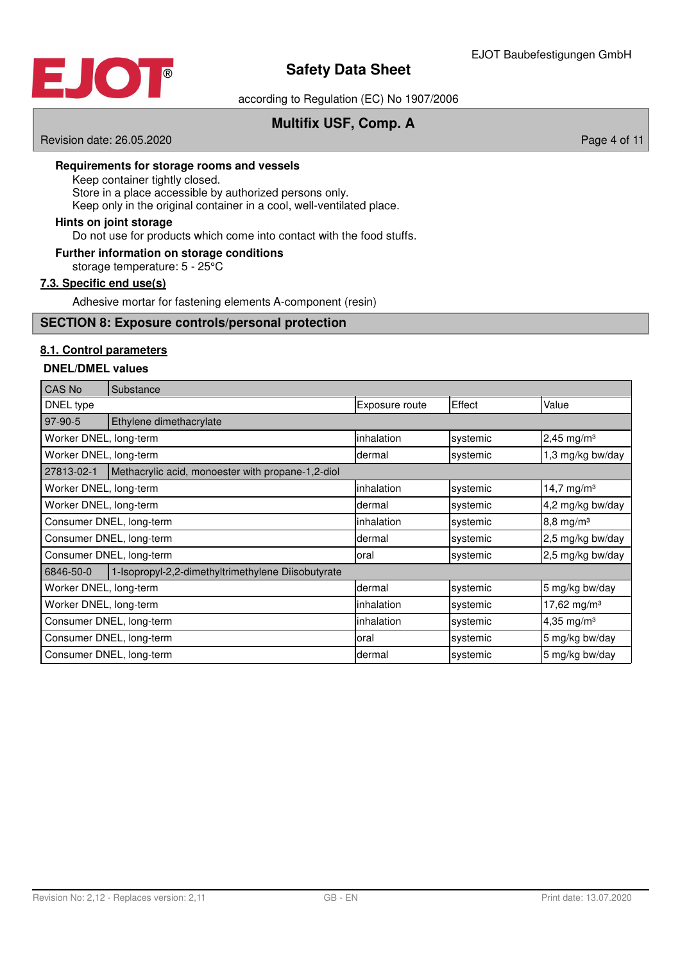

according to Regulation (EC) No 1907/2006

## **Multifix USF, Comp. A**

Revision date: 26.05.2020 **Page 4 of 11** New York 2012 12:00 Page 4 of 11

#### **Requirements for storage rooms and vessels**

Keep container tightly closed.

Store in a place accessible by authorized persons only.

Keep only in the original container in a cool, well-ventilated place.

#### **Hints on joint storage**

Do not use for products which come into contact with the food stuffs.

#### **Further information on storage conditions**

storage temperature: 5 - 25°C

#### **7.3. Specific end use(s)**

Adhesive mortar for fastening elements A-component (resin)

#### **SECTION 8: Exposure controls/personal protection**

#### **8 . 1 . Control parameters**

#### **DNEL/DMEL values**

| <b>CAS No</b>            | Substance                                          |                |          |                          |
|--------------------------|----------------------------------------------------|----------------|----------|--------------------------|
| DNEL type                |                                                    | Exposure route | Effect   | Value                    |
| 97-90-5                  | Ethylene dimethacrylate                            |                |          |                          |
| Worker DNEL, long-term   |                                                    | inhalation     | systemic | $2,45$ mg/m <sup>3</sup> |
| Worker DNEL, long-term   |                                                    | dermal         | systemic | 1,3 mg/kg bw/day         |
| 27813-02-1               | Methacrylic acid, monoester with propane-1,2-diol  |                |          |                          |
| Worker DNEL, long-term   |                                                    | inhalation     | systemic | 14,7 mg/m $3$            |
| Worker DNEL, long-term   |                                                    | dermal         | systemic | 4,2 mg/kg bw/day         |
| Consumer DNEL, long-term |                                                    | inhalation     | systemic | $8,8 \, \text{mg/m}^3$   |
| Consumer DNEL, long-term |                                                    | dermal         | systemic | 2,5 mg/kg bw/day         |
| Consumer DNEL, long-term |                                                    | oral           | systemic | 2,5 mg/kg bw/day         |
| 6846-50-0                | 1-Isopropyl-2,2-dimethyltrimethylene Diisobutyrate |                |          |                          |
| Worker DNEL, long-term   |                                                    | dermal         | systemic | 5 mg/kg bw/day           |
| Worker DNEL, long-term   |                                                    | inhalation     | systemic | 17,62 mg/m <sup>3</sup>  |
| Consumer DNEL, long-term |                                                    | inhalation     | systemic | 4,35 mg/m <sup>3</sup>   |
| Consumer DNEL, long-term |                                                    | oral           | systemic | 5 mg/kg bw/day           |
| Consumer DNEL, long-term |                                                    | dermal         | systemic | 5 mg/kg bw/day           |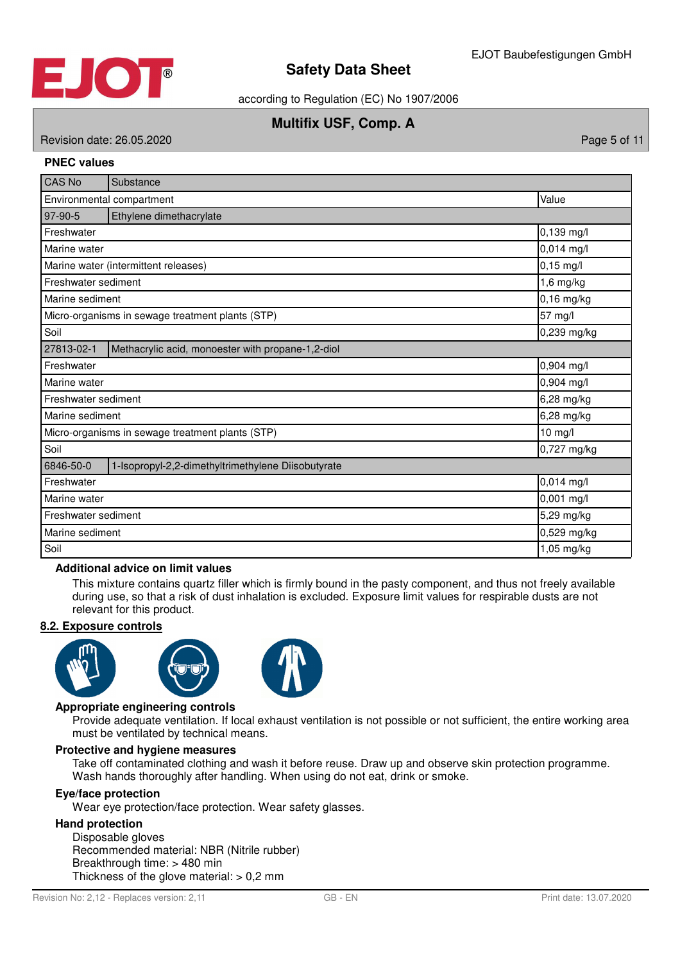

according to Regulation (EC) No 1907/2006

## **Multifix USF, Comp. A**

Revision date: 26.05.2020 **Page 5 of 11** No. 2020 **Page 5 of 11** 

#### **PNEC values**

| <b>CAS No</b>                                                   | Substance                                         |              |
|-----------------------------------------------------------------|---------------------------------------------------|--------------|
| Environmental compartment                                       | Value                                             |              |
| 97-90-5                                                         | Ethylene dimethacrylate                           |              |
| Freshwater                                                      |                                                   | 0,139 mg/l   |
| Marine water                                                    |                                                   | 0,014 mg/l   |
|                                                                 | Marine water (intermittent releases)              | $0,15$ mg/l  |
| Freshwater sediment                                             |                                                   | $1,6$ mg/kg  |
| Marine sediment                                                 |                                                   | $0,16$ mg/kg |
|                                                                 | Micro-organisms in sewage treatment plants (STP)  | 57 mg/l      |
| Soil                                                            | 0,239 mg/kg                                       |              |
| 27813-02-1                                                      | Methacrylic acid, monoester with propane-1,2-diol |              |
| Freshwater                                                      | 0,904 mg/l                                        |              |
| Marine water                                                    |                                                   | 0,904 mg/l   |
| Freshwater sediment                                             |                                                   | 6,28 mg/kg   |
| Marine sediment                                                 |                                                   | 6,28 mg/kg   |
|                                                                 | Micro-organisms in sewage treatment plants (STP)  | 10 mg/l      |
| Soil                                                            |                                                   | 0,727 mg/kg  |
| 6846-50-0<br>1-Isopropyl-2,2-dimethyltrimethylene Diisobutyrate |                                                   |              |
| Freshwater                                                      |                                                   | 0,014 mg/l   |
| Marine water                                                    |                                                   | 0,001 mg/l   |
| Freshwater sediment                                             |                                                   | 5,29 mg/kg   |
| Marine sediment                                                 |                                                   | 0,529 mg/kg  |
| Soil                                                            |                                                   | 1,05 mg/kg   |

#### **Additional advice on limit values**

This mixture contains quartz filler which is firmly bound in the pasty component, and thus not freely available during use, so that a risk of dust inhalation is excluded. Exposure limit values for respirable dusts are not relevant for this product.

#### **8 . 2 . Exposure controls**







#### **Appropriate engineering controls**

Provide adequate ventilation. If local exhaust ventilation is not possible or not sufficient, the entire working area must be ventilated by technical means.

#### **Protective and hygiene measures**

Take off contaminated clothing and wash it before reuse. Draw up and observe skin protection programme. Wash hands thoroughly after handling. When using do not eat, drink or smoke.

#### **Eye/face protection**

Wear eye protection/face protection. Wear safety glasses.

#### **Hand protection**

Disposable gloves Recommended material: NBR (Nitrile rubber) Breakthrough time: > 480 min Thickness of the glove material:  $> 0.2$  mm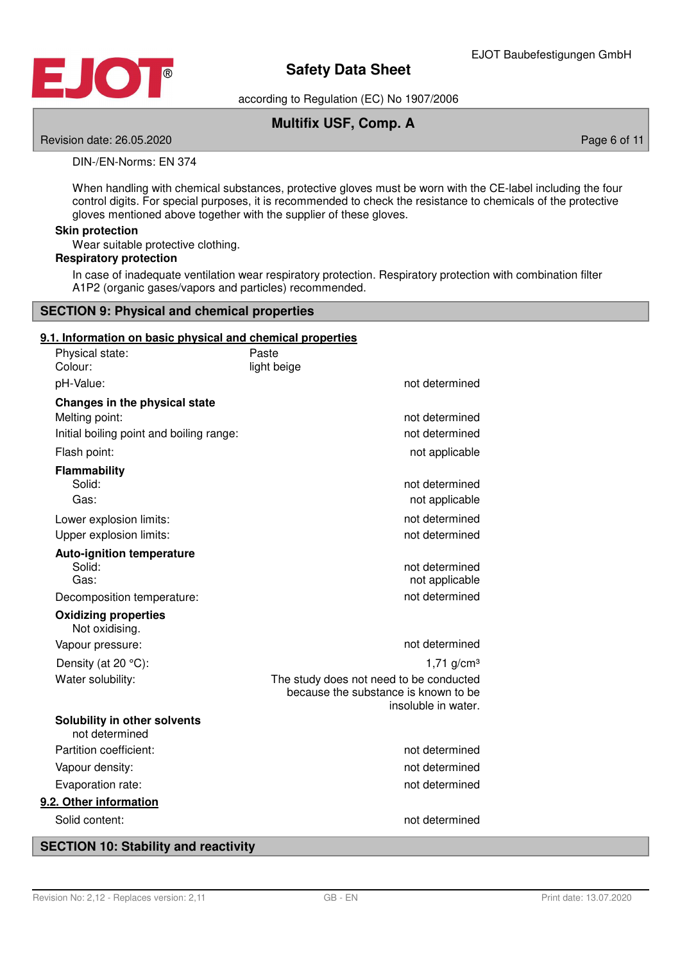

according to Regulation (EC) No 1907/2006

## **Multifix USF, Comp. A**

Revision date: 26.05.2020 **Page 6 of 11** No. 2020 **Page 6 of 11** No. 2020 **Page 6 of 11** 

DIN-/EN-Norms: EN 374

When handling with chemical substances, protective gloves must be worn with the CE-label including the four control digits. For special purposes, it is recommended to check the resistance to chemicals of the protective gloves mentioned above together with the supplier of these gloves.

#### **Skin protection**

Wear suitable protective clothing.

#### **Respiratory protection**

In case of inadequate ventilation wear respiratory protection. Respiratory protection with combination filter A1P2 (organic gases/vapors and particles) recommended.

#### **SECTION 9: Physical and chemical properties**

#### **9 . 1 . Information on basic physical and chemical properties**

| Physical state:<br>Colour:               | Paste<br>light beige                                        |
|------------------------------------------|-------------------------------------------------------------|
| pH-Value:                                | not determined                                              |
| Changes in the physical state            |                                                             |
| Melting point:                           | not determined                                              |
| Initial boiling point and boiling range: | not determined                                              |
| Flash point:                             | not applicable                                              |
| <b>Flammability</b>                      |                                                             |
| Solid:                                   | not determined                                              |
| Gas:                                     | not applicable                                              |
| Lower explosion limits:                  | not determined                                              |
| Upper explosion limits:                  | not determined                                              |
| <b>Auto-ignition temperature</b>         |                                                             |
| Solid:<br>Gas:                           | not determined<br>not applicable                            |
| Decomposition temperature:               | not determined                                              |
| <b>Oxidizing properties</b>              |                                                             |
| Not oxidising.                           |                                                             |
| Vapour pressure:                         | not determined                                              |
| Density (at 20 °C):                      | $1,71$ g/cm <sup>3</sup>                                    |
| Water solubility:                        | The study does not need to be conducted                     |
|                                          | because the substance is known to be<br>insoluble in water. |
| Solubility in other solvents             |                                                             |
| not determined                           |                                                             |
| Partition coefficient:                   | not determined                                              |
| Vapour density:                          | not determined                                              |
| Evaporation rate:                        | not determined                                              |
| 9.2. Other information                   |                                                             |
| Solid content:                           | not determined                                              |
|                                          |                                                             |

## **SECTION 10: Stability and reactivity**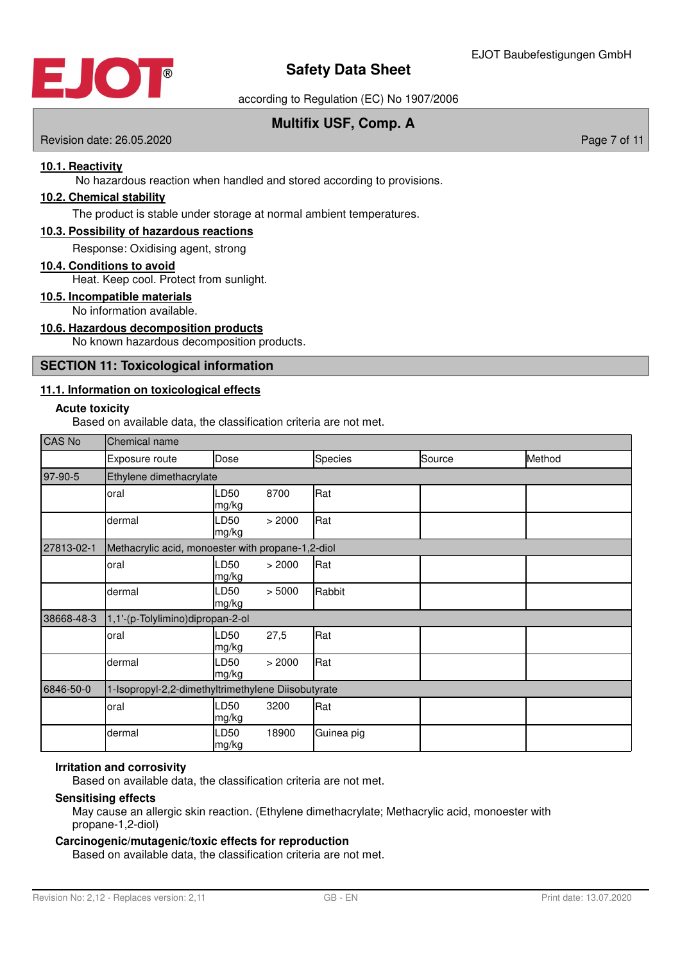

according to Regulation (EC) No 1907/2006

## **Multifix USF, Comp. A**

Revision date: 26.05.2020 **Page 7 of 11** No. 2020 **Page 7 of 11** No. 2020 **Page 7 of 11** 

#### **10 . 1 . Reactivity**

No hazardous reaction when handled and stored according to provisions.

#### **10 . 2 . Chemical stability**

The product is stable under storage at normal ambient temperatures.

#### **10 . 3 . Possibility of hazardous reactions**

Response: Oxidising agent, strong

#### **10 . 4 . Conditions to avoid**

Heat. Keep cool. Protect from sunlight.

### **10 . 5 . Incompatible materials**

No information available.

#### **10 . 6 . Hazardous decomposition products**

No known hazardous decomposition products.

#### **SECTION 11: Toxicological information**

#### **11 . 1 . Information on toxicological effects**

#### **Acute toxicity**

Based on available data, the classification criteria are not met.

| <b>CAS No</b> | Chemical name                                      |               |        |            |        |        |
|---------------|----------------------------------------------------|---------------|--------|------------|--------|--------|
|               | Exposure route                                     | Dose          |        | Species    | Source | Method |
| 97-90-5       | Ethylene dimethacrylate                            |               |        |            |        |        |
|               | oral                                               | LD50<br>mg/kg | 8700   | Rat        |        |        |
|               | dermal                                             | LD50<br>mg/kg | > 2000 | Rat        |        |        |
| 27813-02-1    | Methacrylic acid, monoester with propane-1,2-diol  |               |        |            |        |        |
|               | oral                                               | LD50<br>mg/kg | > 2000 | Rat        |        |        |
|               | dermal                                             | LD50<br>mg/kg | > 5000 | Rabbit     |        |        |
| 38668-48-3    | 1,1'-(p-Tolylimino)dipropan-2-ol                   |               |        |            |        |        |
|               | oral                                               | LD50<br>mg/kg | 27,5   | Rat        |        |        |
|               | dermal                                             | LD50<br>mg/kg | > 2000 | Rat        |        |        |
| 6846-50-0     | 1-Isopropyl-2,2-dimethyltrimethylene Diisobutyrate |               |        |            |        |        |
|               | oral                                               | LD50<br>mg/kg | 3200   | Rat        |        |        |
|               | dermal                                             | LD50<br>mg/kg | 18900  | Guinea pig |        |        |

#### **Irritation and corrosivity**

Based on available data, the classification criteria are not met.

#### **Sensitising effects**

May cause an allergic skin reaction. (Ethylene dimethacrylate; Methacrylic acid, monoester with propane-1,2-diol)

#### **Carcinogenic/mutagenic/toxic effects for reproduction**

Based on available data, the classification criteria are not met.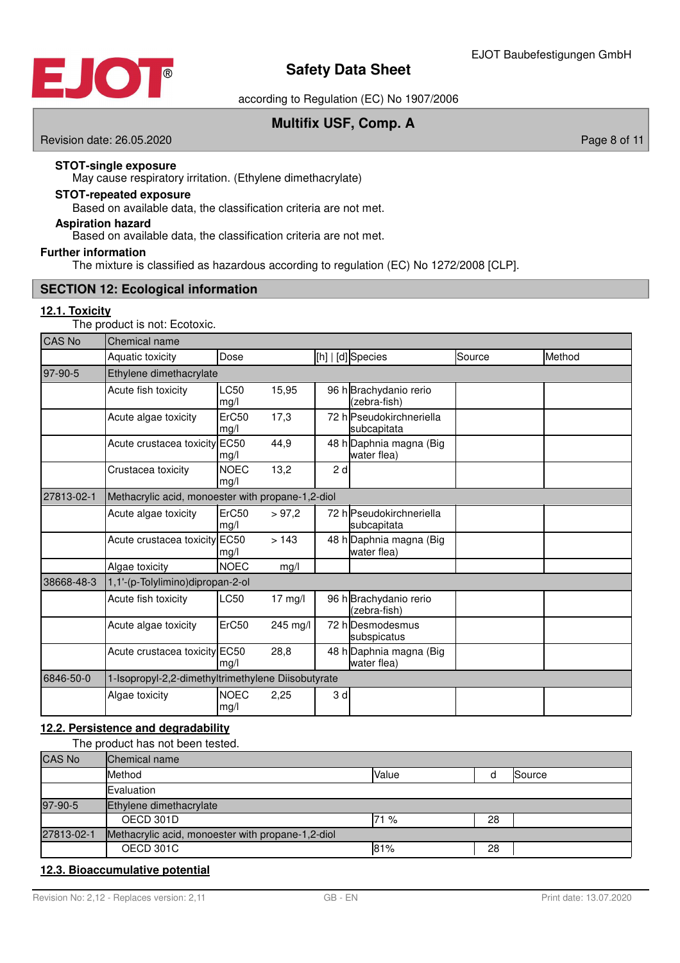

according to Regulation (EC) No 1907/2006

## **Multifix USF, Comp. A**

Revision date: 26.05.2020 **Page 8 of 11** New York 2012 12:00 Page 8 of 11

#### **STOT-single exposure**

May cause respiratory irritation. (Ethylene dimethacrylate)

# **STOT-repeated exposure**

Based on available data, the classification criteria are not met.

## **Aspiration hazard**

Based on available data, the classification criteria are not met.

#### **Further information**

The mixture is classified as hazardous according to regulation (EC) No 1272/2008 [CLP].

### **SECTION 12: Ecological information**

#### **12 . 1 . Toxicity**

The product is not: Ecotoxic.

| <b>CAS No</b> | Chemical name                                      |                     |                   |    |                                         |        |        |
|---------------|----------------------------------------------------|---------------------|-------------------|----|-----------------------------------------|--------|--------|
|               | Aquatic toxicity                                   | Dose                |                   |    | [h]   [d] Species                       | Source | Method |
| 97-90-5       | Ethylene dimethacrylate                            |                     |                   |    |                                         |        |        |
|               | Acute fish toxicity                                | LC50<br>mg/l        | 15,95             |    | 96 h Brachydanio rerio<br>(zebra-fish)  |        |        |
|               | Acute algae toxicity                               | ErC50<br>mg/l       | 17,3              |    | 72 hlPseudokirchneriella<br>subcapitata |        |        |
|               | Acute crustacea toxicity                           | <b>EC50</b><br>mg/l | 44,9              |    | 48 h Daphnia magna (Big<br>water flea)  |        |        |
|               | Crustacea toxicity                                 | <b>NOEC</b><br>mg/l | 13,2              | 2d |                                         |        |        |
| 27813-02-1    | Methacrylic acid, monoester with propane-1,2-diol  |                     |                   |    |                                         |        |        |
|               | Acute algae toxicity                               | ErC50<br>mg/l       | > 97.2            |    | 72 h Pseudokirchneriella<br>subcapitata |        |        |
|               | Acute crustacea toxicity                           | <b>EC50</b><br>mg/l | >143              |    | 48 h Daphnia magna (Big<br>water flea)  |        |        |
|               | Algae toxicity                                     | <b>NOEC</b>         | mg/l              |    |                                         |        |        |
| 38668-48-3    | 1,1'-(p-Tolylimino)dipropan-2-ol                   |                     |                   |    |                                         |        |        |
|               | Acute fish toxicity                                | LC50                | $17 \text{ mg/l}$ |    | 96 h Brachydanio rerio<br>(zebra-fish)  |        |        |
|               | Acute algae toxicity                               | ErC50               | 245 mg/l          |    | 72 h Desmodesmus<br>subspicatus         |        |        |
|               | Acute crustacea toxicity EC50                      | mg/l                | 28,8              |    | 48 h Daphnia magna (Big<br>water flea)  |        |        |
| 6846-50-0     | 1-Isopropyl-2,2-dimethyltrimethylene Diisobutyrate |                     |                   |    |                                         |        |        |
|               | Algae toxicity                                     | <b>NOEC</b><br>mg/l | 2,25              | 3d |                                         |        |        |

### **12 . 2 . Persistence and degradability**

The product has not been tested.

| <b>CAS No</b> | Chemical name                                     |       |    |        |  |
|---------------|---------------------------------------------------|-------|----|--------|--|
|               | Method                                            | Value |    | Source |  |
|               | Evaluation                                        |       |    |        |  |
| 97-90-5       | Ethylene dimethacrylate                           |       |    |        |  |
|               | OECD 301D                                         | 71 %  | 28 |        |  |
| 27813-02-1    | Methacrylic acid, monoester with propane-1,2-diol |       |    |        |  |
|               | OECD 301C                                         | 81%   | 28 |        |  |

### **12 . 3 . Bioaccumulative potential**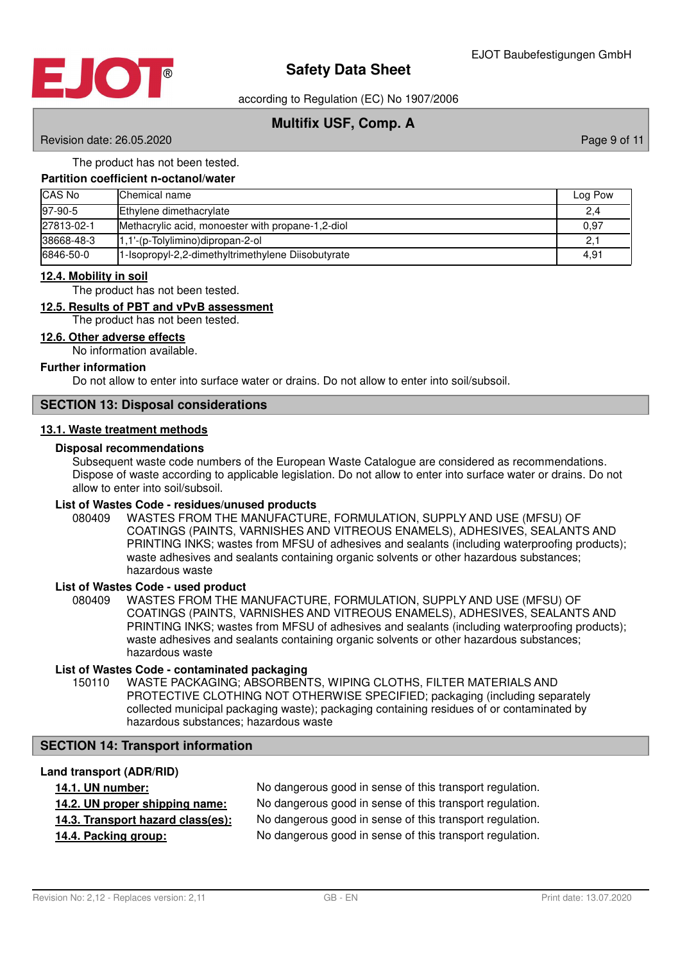

according to Regulation (EC) No 1907/2006

## **Multifix USF, Comp. A**

Revision date: 26.05.2020

#### The product has not been tested.

#### **Partition coefficient n-octanol/water**

| <b>CAS No</b> | Chemical name                                      | Log Pow |
|---------------|----------------------------------------------------|---------|
| 97-90-5       | Ethylene dimethacrylate                            | 2,4     |
| 27813-02-1    | Methacrylic acid, monoester with propane-1,2-diol  | 0,97    |
| 38668-48-3    | $1,1'$ -(p-Tolylimino)dipropan-2-ol                | . 2     |
| 6846-50-0     | 1-Isopropyl-2,2-dimethyltrimethylene Diisobutyrate | 4,91    |

#### **12 . 4 . Mobility in soil**

The product has not been tested.

#### **12 . 5 . Results of PBT and vPvB assessment**

The product has not been tested.

#### **12 . 6 . Other adverse effects**

No information available.

#### **Further information**

Do not allow to enter into surface water or drains. Do not allow to enter into soil/subsoil.

#### **SECTION 13: Disposal considerations**

#### **13 . 1 . Waste treatment methods**

#### **Disposal recommendations**

Subsequent waste code numbers of the European Waste Catalogue are considered as recommendations. Dispose of waste according to applicable legislation. Do not allow to enter into surface water or drains. Do not allow to enter into soil/subsoil.

# **List of Wastes Code - residues/unused products**

080409 WASTES FROM THE MANUFACTURE, FORMULATION, SUPPLY AND USE (MFSU) OF COATINGS (PAINTS, VARNISHES AND VITREOUS ENAMELS), ADHESIVES, SEALANTS AND PRINTING INKS; wastes from MFSU of adhesives and sealants (including waterproofing products); waste adhesives and sealants containing organic solvents or other hazardous substances; hazardous waste

#### **List of Wastes Code - used product**

WASTES FROM THE MANUFACTURE, FORMULATION, SUPPLY AND USE (MFSU) OF COATINGS (PAINTS, VARNISHES AND VITREOUS ENAMELS), ADHESIVES, SEALANTS AND PRINTING INKS; wastes from MFSU of adhesives and sealants (including waterproofing products); waste adhesives and sealants containing organic solvents or other hazardous substances; hazardous waste 080409

#### **List of Wastes Code - contaminated packaging**

WASTE PACKAGING; ABSORBENTS, WIPING CLOTHS, FILTER MATERIALS AND PROTECTIVE CLOTHING NOT OTHERWISE SPECIFIED; packaging (including separately collected municipal packaging waste); packaging containing residues of or contaminated by hazardous substances; hazardous waste 150110

## **SECTION 14: Transport information**

#### **Land transport (ADR/RID)**

| <b>14.1. UN number:</b> |  |
|-------------------------|--|
|-------------------------|--|

| 14. I. UN NUMDER:                 | TVO darigerous good in sense of this transport requiation. |
|-----------------------------------|------------------------------------------------------------|
| 14.2. UN proper shipping name:    | No dangerous good in sense of this transport regulation.   |
| 14.3. Transport hazard class(es): | No dangerous good in sense of this transport regulation.   |
| 14.4. Packing group:              | No dangerous good in sense of this transport regulation.   |

**14 . 1 . UN number :** No dangerous good in sense of this transport regulation.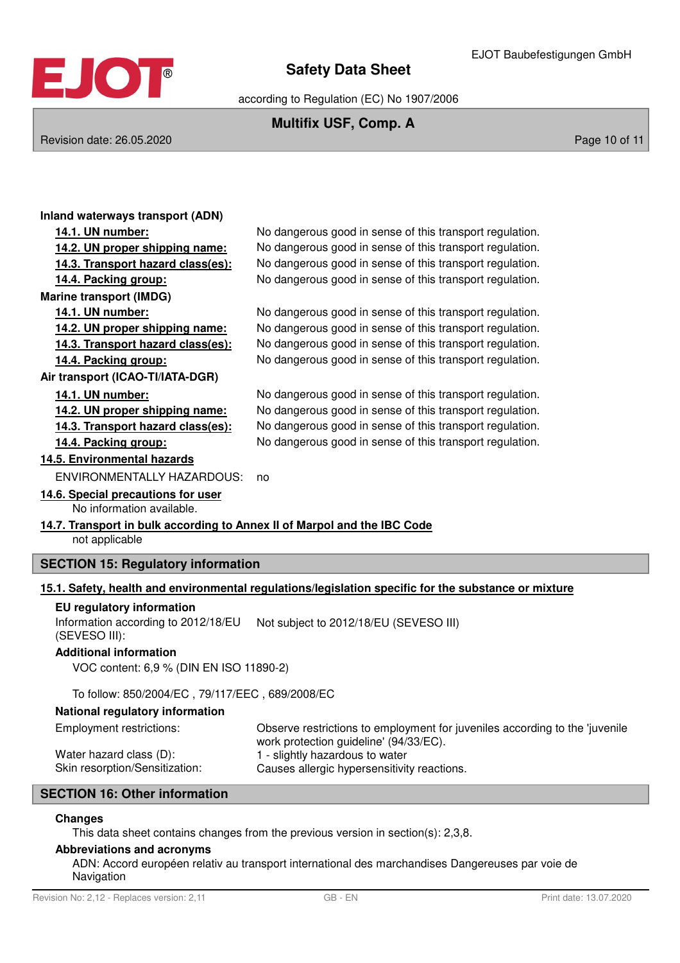

according to Regulation (EC) No 1907/2006

## **Multifix USF, Comp. A**

Revision date: 26.05.2020 **Page 10 of 11** New York 2012 12:00 Page 10 of 11

| Inland waterways transport (ADN)                                         |                                                                                                                       |
|--------------------------------------------------------------------------|-----------------------------------------------------------------------------------------------------------------------|
| 14.1. UN number:                                                         | No dangerous good in sense of this transport regulation.                                                              |
| 14.2. UN proper shipping name:                                           | No dangerous good in sense of this transport regulation.                                                              |
| 14.3. Transport hazard class(es):                                        | No dangerous good in sense of this transport regulation.                                                              |
| 14.4. Packing group:                                                     | No dangerous good in sense of this transport regulation.                                                              |
| <b>Marine transport (IMDG)</b>                                           |                                                                                                                       |
| 14.1. UN number:                                                         | No dangerous good in sense of this transport regulation.                                                              |
| 14.2. UN proper shipping name:                                           | No dangerous good in sense of this transport regulation.                                                              |
| 14.3. Transport hazard class(es):                                        | No dangerous good in sense of this transport regulation.                                                              |
| 14.4. Packing group:                                                     | No dangerous good in sense of this transport regulation.                                                              |
| Air transport (ICAO-TI/IATA-DGR)                                         |                                                                                                                       |
| 14.1. UN number:                                                         | No dangerous good in sense of this transport regulation.                                                              |
| 14.2. UN proper shipping name:                                           | No dangerous good in sense of this transport regulation.                                                              |
| 14.3. Transport hazard class(es):                                        | No dangerous good in sense of this transport regulation.                                                              |
| 14.4. Packing group:                                                     | No dangerous good in sense of this transport regulation.                                                              |
| 14.5. Environmental hazards                                              |                                                                                                                       |
| <b>ENVIRONMENTALLY HAZARDOUS:</b>                                        | no                                                                                                                    |
| 14.6. Special precautions for user                                       |                                                                                                                       |
| No information available.                                                |                                                                                                                       |
| 14.7. Transport in bulk according to Annex II of Marpol and the IBC Code |                                                                                                                       |
| not applicable                                                           |                                                                                                                       |
| <b>SECTION 15: Regulatory information</b>                                |                                                                                                                       |
|                                                                          | 15.1. Safety, health and environmental regulations/legislation specific for the substance or mixture                  |
| EU regulatory information                                                |                                                                                                                       |
| Information according to 2012/18/EU<br>(SEVESO III):                     | Not subject to 2012/18/EU (SEVESO III)                                                                                |
| <b>Additional information</b>                                            |                                                                                                                       |
| VOC content: 6,9 % (DIN EN ISO 11890-2)                                  |                                                                                                                       |
| To follow: 850/2004/EC, 79/117/EEC, 689/2008/EC                          |                                                                                                                       |
| National regulatory information                                          |                                                                                                                       |
| <b>Employment restrictions:</b>                                          | Observe restrictions to employment for juveniles according to the 'juvenile<br>work protection guideline' (94/33/EC). |
| Water hazard class (D):                                                  | 1 - slightly hazardous to water                                                                                       |
| Skin resorption/Sensitization:                                           | Causes allergic hypersensitivity reactions.                                                                           |
| <b>SECTION 16: Other information</b>                                     |                                                                                                                       |

#### **Changes**

This data sheet contains changes from the previous version in section(s): 2,3,8.

#### **Abbreviations and acronyms**

ADN: Accord européen relativ au transport international des marchandises Dangereuses par voie de Navigation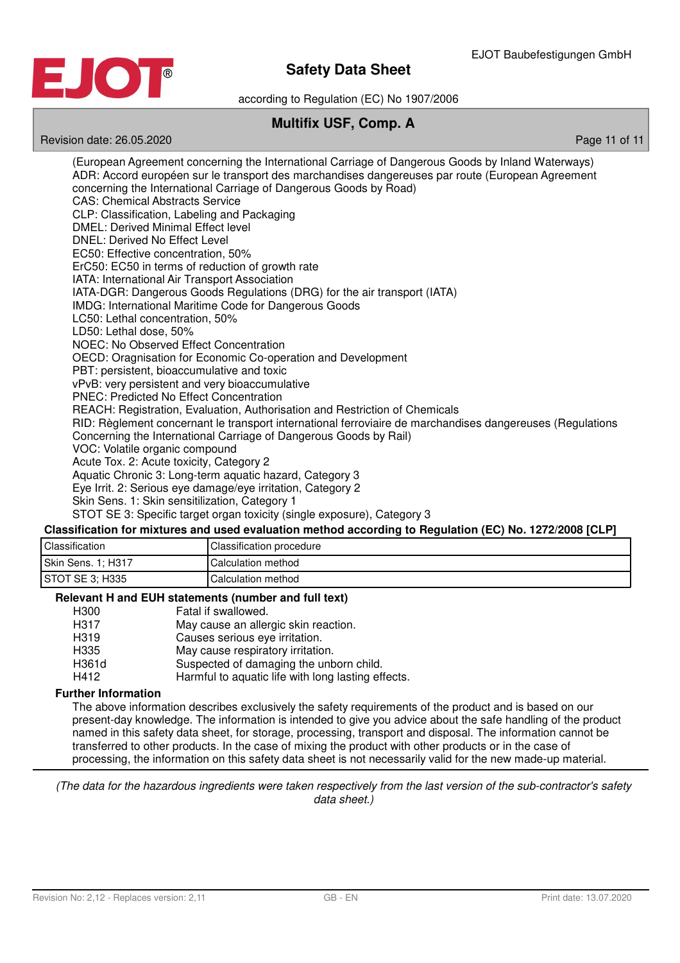

according to Regulation (EC) No 1907/2006

## **Multifix USF, Comp. A**

Revision date: 26.05.2020 Page 11 of 11

(European Agreement concerning the International Carriage of Dangerous Goods by Inland Waterways) ADR: Accord européen sur le transport des marchandises dangereuses par route (European Agreement concerning the International Carriage of Dangerous Goods by Road) CAS: Chemical Abstracts Service CLP: Classification, Labeling and Packaging DMEL: Derived Minimal Effect level DNEL: Derived No Effect Level EC50: Effective concentration, 50% ErC50: EC50 in terms of reduction of growth rate IATA: International Air Transport Association IATA-DGR: Dangerous Goods Regulations (DRG) for the air transport (IATA) IMDG: International Maritime Code for Dangerous Goods LC50: Lethal concentration, 50% LD50: Lethal dose, 50% NOEC: No Observed Effect Concentration OECD: Oragnisation for Economic Co-operation and Development PBT: persistent, bioaccumulative and toxic vPvB: very persistent and very bioaccumulative PNEC: Predicted No Effect Concentration REACH: Registration, Evaluation, Authorisation and Restriction of Chemicals RID: Règlement concernant le transport international ferroviaire de marchandises dangereuses (Regulations Concerning the International Carriage of Dangerous Goods by Rail) VOC: Volatile organic compound Acute Tox. 2: Acute toxicity, Category 2 Aquatic Chronic 3: Long-term aquatic hazard, Category 3 Eye Irrit. 2: Serious eye damage/eye irritation, Category 2 Skin Sens. 1: Skin sensitilization, Category 1 STOT SE 3: Specific target organ toxicity (single exposure), Category 3 **Classification for mixtures and used evaluation method according to Regulation (EC) No. 1272/2008 [CLP]**

| <b>Classification</b> | Classification procedure |
|-----------------------|--------------------------|
| Skin Sens. 1: H317    | Calculation method       |
| STOT SE 3: H335       | Calculation method       |

#### **Relevant H and EUH statements (number and full text)**

|                   | $\frac{1}{2}$                                      |
|-------------------|----------------------------------------------------|
| H <sub>300</sub>  | Fatal if swallowed.                                |
| H317              | May cause an allergic skin reaction.               |
| H <sub>3</sub> 19 | Causes serious eye irritation.                     |
| H335              | May cause respiratory irritation.                  |
| H361d             | Suspected of damaging the unborn child.            |
| H412              | Harmful to aquatic life with long lasting effects. |
|                   |                                                    |

#### **Further Information**

The above information describes exclusively the safety requirements of the product and is based on our present-day knowledge. The information is intended to give you advice about the safe handling of the product named in this safety data sheet, for storage, processing, transport and disposal. The information cannot be transferred to other products. In the case of mixing the product with other products or in the case of processing, the information on this safety data sheet is not necessarily valid for the new made-up material.

(The data for the hazardous ingredients were taken respectively from the last version of the sub-contractor's safety data sheet.)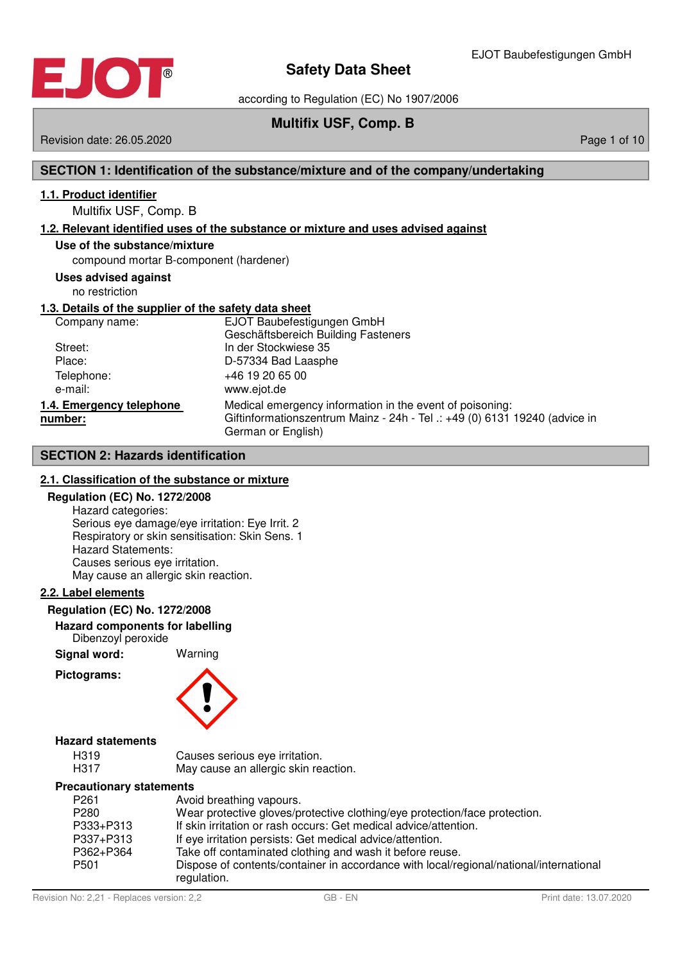

according to Regulation (EC) No 1907/2006

## **Multifix USF, Comp. B**

Revision date: 26.05.2020 **Page 1 of 10** November 2010 12:00 Page 1 of 10

#### **SECTION 1: Identification of the substance/mixture and of the company/undertaking**

#### **1 . 1 . Product identifier**

## Multifix USF, Comp. B

#### **1 . 2 . Relevant identified uses of the substance or mixture and uses advised against**

#### **Use of the substance/mixture**

compound mortar B-component (hardener)

#### **Uses advised against**

no restriction

#### **1 . 3 . Details of the supplier of the safety data sheet**

| Company name:                       | EJOT Baubefestigungen GmbH<br>Geschäftsbereich Building Fasteners                                                                                            |
|-------------------------------------|--------------------------------------------------------------------------------------------------------------------------------------------------------------|
| Street:                             | In der Stockwiese 35                                                                                                                                         |
| Place:                              | D-57334 Bad Laasphe                                                                                                                                          |
| Telephone:                          | +46 19 20 65 00                                                                                                                                              |
| e-mail:                             | www.ejot.de                                                                                                                                                  |
| 1.4. Emergency telephone<br>number: | Medical emergency information in the event of poisoning:<br>Giftinformationszentrum Mainz - 24h - Tel .: +49 (0) 6131 19240 (advice in<br>German or English) |

#### **SECTION 2: Hazards identification**

#### **2 . 1 . Classification of the substance or mixture**

#### **Regulation (EC) No. 1272/2008**

Hazard categories: Serious eye damage/eye irritation: Eye Irrit. 2 Respiratory or skin sensitisation: Skin Sens. 1 Hazard Statements: Causes serious eye irritation. May cause an allergic skin reaction.

#### **2 . 2 . Label elements**

#### **Regulation (EC) No. 1272/2008**

#### **Hazard components for labelling** Dibenzoyl peroxide

**Signal word:** Warning

#### **Pictograms:**



#### **Hazard statements**

| H319 | Causes serious eye irritation.       |
|------|--------------------------------------|
| H317 | May cause an allergic skin reaction. |

#### **Precautionary statements**

| P261      | Avoid breathing vapours.                                                                              |
|-----------|-------------------------------------------------------------------------------------------------------|
| P280      | Wear protective gloves/protective clothing/eye protection/face protection.                            |
| P333+P313 | If skin irritation or rash occurs: Get medical advice/attention.                                      |
| P337+P313 | If eye irritation persists: Get medical advice/attention.                                             |
| P362+P364 | Take off contaminated clothing and wash it before reuse.                                              |
| P501      | Dispose of contents/container in accordance with local/regional/national/international<br>regulation. |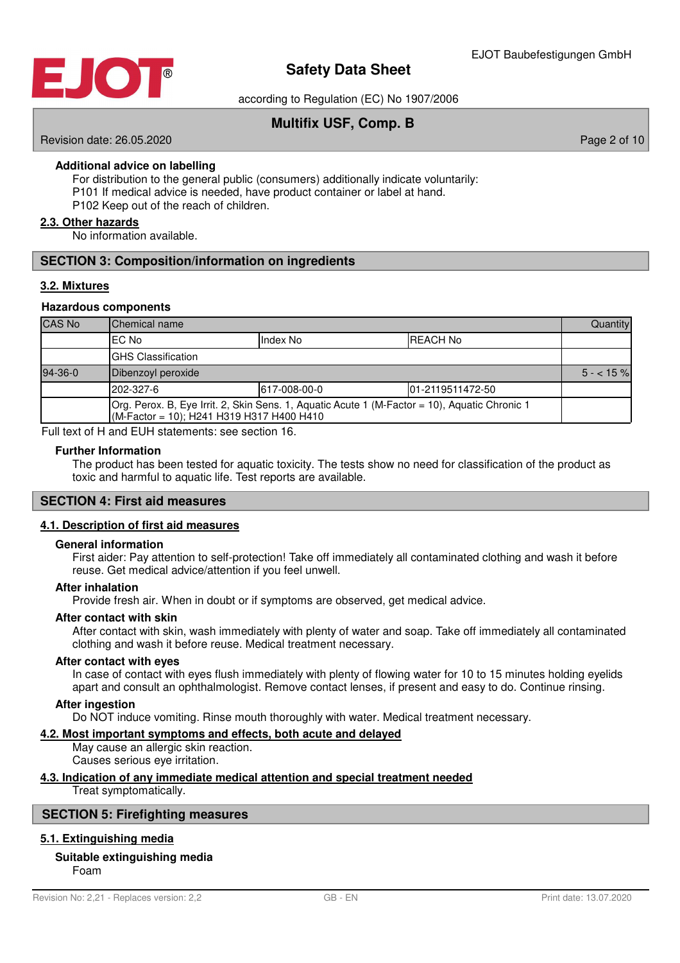

according to Regulation (EC) No 1907/2006

## **Multifix USF, Comp. B**

Revision date: 26.05.2020 **Page 2 of 10** 

#### **Additional advice on labelling**

For distribution to the general public (consumers) additionally indicate voluntarily: P101 If medical advice is needed, have product container or label at hand. P102 Keep out of the reach of children.

#### **2 . 3 . Other hazards**

No information available.

#### **SECTION 3: Composition/information on ingredients**

#### **3 . 2 . Mixtures**

#### **Hazardous components**

| <b>CAS No</b> | <b>Chemical name</b>                                                                                                                       |  |  | Quantity   |
|---------------|--------------------------------------------------------------------------------------------------------------------------------------------|--|--|------------|
|               | <b>REACH No</b><br>IEC No<br>Index No                                                                                                      |  |  |            |
|               | <b>IGHS Classification</b>                                                                                                                 |  |  |            |
| $94 - 36 - 0$ | Dibenzoyl peroxide                                                                                                                         |  |  | $5 - 15\%$ |
|               | 202-327-6<br>01-2119511472-50<br>617-008-00-0                                                                                              |  |  |            |
|               | Org. Perox. B, Eye Irrit. 2, Skin Sens. 1, Aquatic Acute 1 (M-Factor = 10), Aquatic Chronic 1<br>(M-Factor = 10); H241 H319 H317 H400 H410 |  |  |            |

Full text of H and EUH statements: see section 16.

#### **Further Information**

The product has been tested for aquatic toxicity. The tests show no need for classification of the product as toxic and harmful to aquatic life. Test reports are available.

#### **SECTION 4: First aid measures**

#### **4 . 1 . Description of first aid measures**

#### **General information**

First aider: Pay attention to self-protection! Take off immediately all contaminated clothing and wash it before reuse. Get medical advice/attention if you feel unwell.

#### **After inhalation**

Provide fresh air. When in doubt or if symptoms are observed, get medical advice.

#### **After contact with skin**

After contact with skin, wash immediately with plenty of water and soap. Take off immediately all contaminated clothing and wash it before reuse. Medical treatment necessary.

#### **After contact with eyes**

In case of contact with eyes flush immediately with plenty of flowing water for 10 to 15 minutes holding eyelids apart and consult an ophthalmologist. Remove contact lenses, if present and easy to do. Continue rinsing.

#### **After ingestion**

Do NOT induce vomiting. Rinse mouth thoroughly with water. Medical treatment necessary.

#### **4 . 2 . Most important symptoms and effects , both acute and delayed**

May cause an allergic skin reaction. Causes serious eye irritation.

#### **4 . 3 . Indication of any immediate medical attention and special treatment needed**

Treat symptomatically.

#### **SECTION 5: Firefighting measures**

#### **5 . 1 . Extinguishing media**

#### **Suitable extinguishing media**

Foam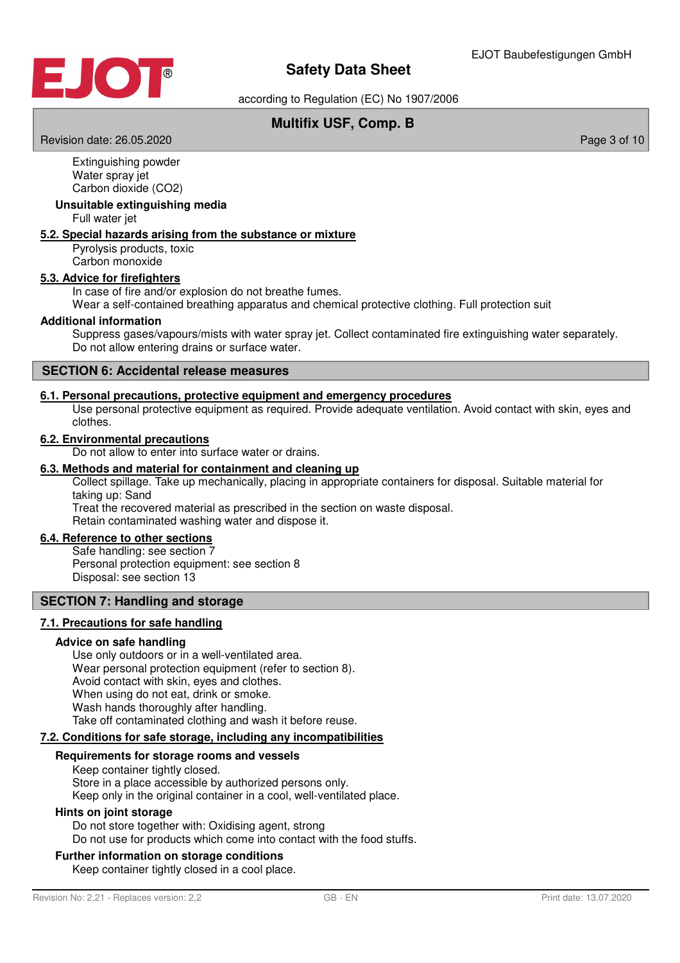

according to Regulation (EC) No 1907/2006

## **Multifix USF, Comp. B**

Revision date: 26.05.2020 **Page 3 of 10** New York 2012 12:00 Page 3 of 10

Extinguishing powder Water spray jet Carbon dioxide (CO2)

#### **Unsuitable extinguishing media**

Full water jet

#### **5 . 2 . Special hazards arising from the substance or mixture**

Pyrolysis products, toxic Carbon monoxide

#### **5 . 3 . Advice for firefighters**

In case of fire and/or explosion do not breathe fumes.

Wear a self-contained breathing apparatus and chemical protective clothing. Full protection suit

#### **Additional information**

Suppress gases/vapours/mists with water spray jet. Collect contaminated fire extinguishing water separately. Do not allow entering drains or surface water.

#### **SECTION 6: Accidental release measures**

#### **6 . 1 . Personal precautions , protective equipment and emergency procedures**

Use personal protective equipment as required. Provide adequate ventilation. Avoid contact with skin, eyes and clothes.

#### **6 . 2 . Environmental precautions**

Do not allow to enter into surface water or drains.

#### **6 . 3 . Methods and material for containment and cleaning up**

Collect spillage. Take up mechanically, placing in appropriate containers for disposal. Suitable material for taking up: Sand

Treat the recovered material as prescribed in the section on waste disposal. Retain contaminated washing water and dispose it.

#### **6 . 4 . Reference to other sections**

Safe handling: see section 7 Personal protection equipment: see section 8 Disposal: see section 13

#### **SECTION 7: Handling and storage**

#### **7 . 1 . Precautions for safe handling**

#### **Advice on safe handling**

Use only outdoors or in a well-ventilated area. Wear personal protection equipment (refer to section 8). Avoid contact with skin, eyes and clothes. When using do not eat, drink or smoke. Wash hands thoroughly after handling. Take off contaminated clothing and wash it before reuse.

#### **7 . 2 . Conditions for safe storage , including any incompatibilities**

#### **Requirements for storage rooms and vessels**

Keep container tightly closed. Store in a place accessible by authorized persons only. Keep only in the original container in a cool, well-ventilated place.

#### **Hints on joint storage**

Do not store together with: Oxidising agent, strong Do not use for products which come into contact with the food stuffs.

#### **Further information on storage conditions**

Keep container tightly closed in a cool place.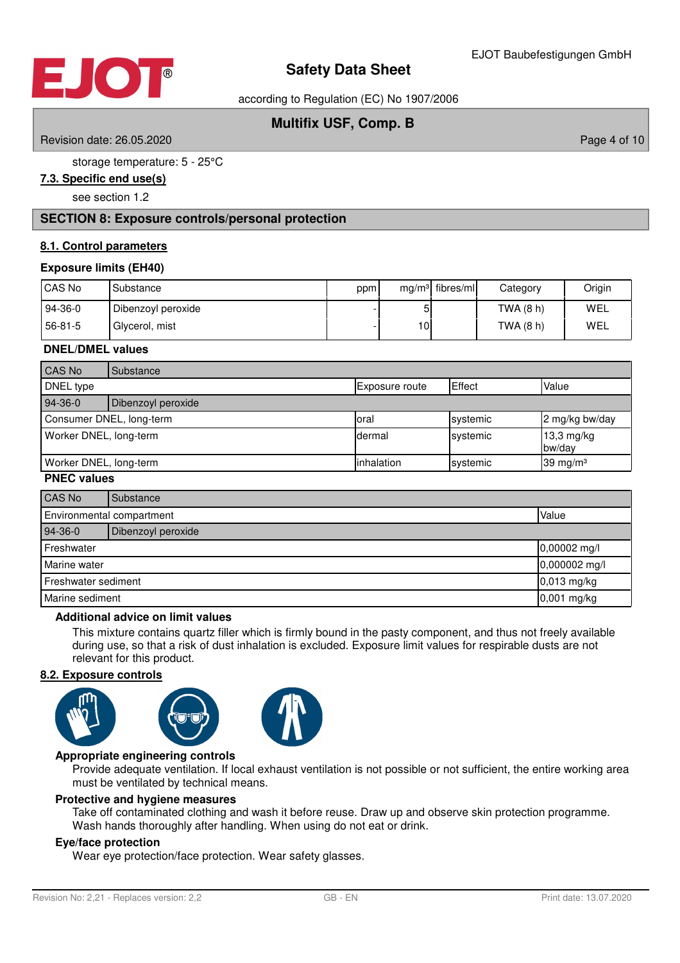

according to Regulation (EC) No 1907/2006

## **Multifix USF, Comp. B**

Revision date: 26.05.2020 **Page 4 of 10** 

storage temperature: 5 - 25°C

## **7 . 3 . Specific end use ( s )**

see section 1.2

#### **SECTION 8: Exposure controls/personal protection**

#### **8 . 1 . Control parameters**

#### **Exposure limits (EH40)**

| CAS No  | Substance          | ppm |     | $mg/m3$ fibres/ml | Category    | Origin |
|---------|--------------------|-----|-----|-------------------|-------------|--------|
| 94-36-0 | Dibenzoyl peroxide |     | וכ  |                   | TWA (8 h)   | WEL    |
| 56-81-5 | Glycerol, mist     |     | 10I |                   | TWA $(8 h)$ | WEL    |

#### **DNEL/DMEL values**

| CAS No                 | Substance                |                       |          |                      |
|------------------------|--------------------------|-----------------------|----------|----------------------|
| DNEL type              |                          | <b>Exposure route</b> | Effect   | Value                |
| 94-36-0                | Dibenzoyl peroxide       |                       |          |                      |
|                        | Consumer DNEL, long-term | loral                 | systemic | 2 mg/kg bw/day       |
| Worker DNEL, long-term |                          | dermal                | systemic | 13,3 mg/kg<br>bw/day |
| Worker DNEL, long-term |                          | linhalation           | systemic | 39 mg/m $3$          |

#### **PNEC values**

| CAS No                    | Substance          |               |
|---------------------------|--------------------|---------------|
| Environmental compartment |                    | Value         |
| 94-36-0                   | Dibenzoyl peroxide |               |
| Freshwater                |                    | 0,00002 mg/l  |
| Marine water              |                    | 0,000002 mg/l |
| Freshwater sediment       |                    | $0,013$ mg/kg |
| Marine sediment           |                    | 0,001 mg/kg   |

#### **Additional advice on limit values**

This mixture contains quartz filler which is firmly bound in the pasty component, and thus not freely available during use, so that a risk of dust inhalation is excluded. Exposure limit values for respirable dusts are not relevant for this product.

#### **8 . 2 . Exposure controls**





#### **Appropriate engineering controls**

Provide adequate ventilation. If local exhaust ventilation is not possible or not sufficient, the entire working area must be ventilated by technical means.

#### **Protective and hygiene measures**

Take off contaminated clothing and wash it before reuse. Draw up and observe skin protection programme. Wash hands thoroughly after handling. When using do not eat or drink.

#### **Eye/face protection**

Wear eye protection/face protection. Wear safety glasses.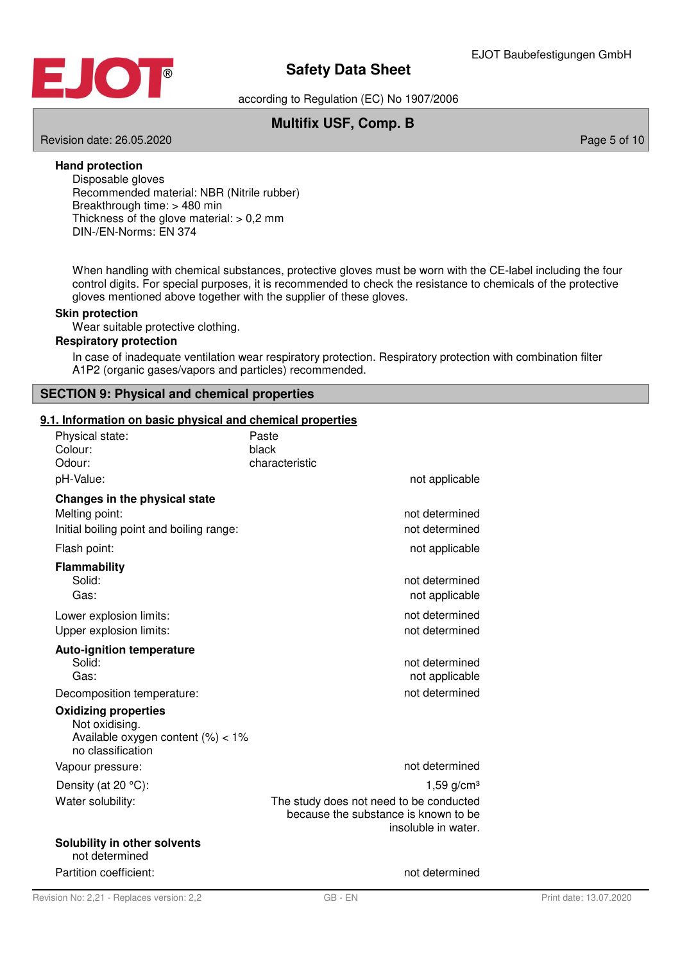

according to Regulation (EC) No 1907/2006

## **Multifix USF, Comp. B**

Revision date: 26.05.2020 **Page 5 of 10** No. 2020 **Page 5 of 10** No. 2020 **Page 5 of 10** 

#### **Hand protection**

Disposable gloves Recommended material: NBR (Nitrile rubber) Breakthrough time: > 480 min Thickness of the glove material:  $> 0.2$  mm DIN-/EN-Norms: EN 374

When handling with chemical substances, protective gloves must be worn with the CE-label including the four control digits. For special purposes, it is recommended to check the resistance to chemicals of the protective gloves mentioned above together with the supplier of these gloves.

#### **Skin protection**

Wear suitable protective clothing.

#### **Respiratory protection**

In case of inadequate ventilation wear respiratory protection. Respiratory protection with combination filter A1P2 (organic gases/vapors and particles) recommended.

#### **SECTION 9: Physical and chemical properties**

#### **9 . 1 . Information on basic physical and chemical properties**

| Physical state:<br>Colour:<br>Odour:                                                                      | Paste<br>black<br>characteristic                                                                       |
|-----------------------------------------------------------------------------------------------------------|--------------------------------------------------------------------------------------------------------|
| pH-Value:                                                                                                 | not applicable                                                                                         |
| Changes in the physical state                                                                             |                                                                                                        |
| Melting point:                                                                                            | not determined                                                                                         |
| Initial boiling point and boiling range:                                                                  | not determined                                                                                         |
| Flash point:                                                                                              | not applicable                                                                                         |
| <b>Flammability</b>                                                                                       |                                                                                                        |
| Solid:                                                                                                    | not determined                                                                                         |
| Gas:                                                                                                      | not applicable                                                                                         |
| Lower explosion limits:                                                                                   | not determined                                                                                         |
| Upper explosion limits:                                                                                   | not determined                                                                                         |
| <b>Auto-ignition temperature</b>                                                                          |                                                                                                        |
| Solid:                                                                                                    | not determined                                                                                         |
| Gas:                                                                                                      | not applicable                                                                                         |
| Decomposition temperature:                                                                                | not determined                                                                                         |
| <b>Oxidizing properties</b><br>Not oxidising.<br>Available oxygen content $(\%)<1\%$<br>no classification |                                                                                                        |
| Vapour pressure:                                                                                          | not determined                                                                                         |
|                                                                                                           |                                                                                                        |
| Density (at 20 °C):                                                                                       | 1,59 $g/cm3$                                                                                           |
| Water solubility:                                                                                         | The study does not need to be conducted<br>because the substance is known to be<br>insoluble in water. |
| Solubility in other solvents<br>not determined                                                            |                                                                                                        |
| Partition coefficient:                                                                                    | not determined                                                                                         |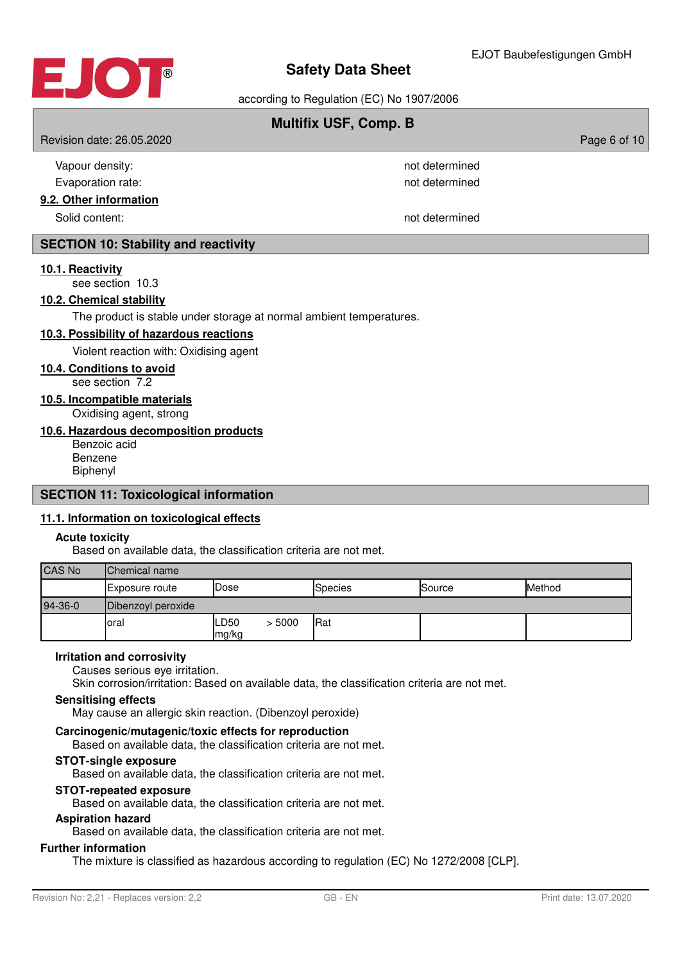

according to Regulation (EC) No 1907/2006

## **Multifix USF, Comp. B**

Revision date: 26.05.2020 **Page 6 of 10** November 2012 12:00 Page 6 of 10

| Vapour density:      | not determined |
|----------------------|----------------|
| Evaporation rate:    | not determined |
| 2. Other information |                |
| Solid content:       | not determined |

### **SECTION 10: Stability and reactivity**

#### **10 . 1 . Reactivity**

**9.2.** 

see section 10.3

#### **10 . 2 . Chemical stability**

The product is stable under storage at normal ambient temperatures.

#### **10 . 3 . Possibility of hazardous reactions**

Violent reaction with: Oxidising agent

#### **10 . 4 . Conditions to avoid**

see section 7.2

**10 . 5 . Incompatible materials**

Oxidising agent, strong

#### **10 . 6 . Hazardous decomposition products**

Benzoic acid Benzene Biphenyl

#### **SECTION 11: Toxicological information**

### **11 . 1 . Information on toxicological effects**

#### **Acute toxicity**

Based on available data, the classification criteria are not met.

| <b>CAS No</b> | Chemical name         |               |        |         |        |        |
|---------------|-----------------------|---------------|--------|---------|--------|--------|
|               | <b>Exposure route</b> | <b>Dose</b>   |        | Species | Source | Method |
| 94-36-0       | Dibenzoyl peroxide    |               |        |         |        |        |
|               | loral                 | LD50<br>mg/kg | > 5000 | Rat     |        |        |

#### **Irritation and corrosivity**

Causes serious eye irritation.

Skin corrosion/irritation: Based on available data, the classification criteria are not met.

#### **Sensitising effects**

May cause an allergic skin reaction. (Dibenzoyl peroxide)

#### **Carcinogenic/mutagenic/toxic effects for reproduction**

Based on available data, the classification criteria are not met.

#### **STOT-single exposure**

Based on available data, the classification criteria are not met.

#### **STOT-repeated exposure**

Based on available data, the classification criteria are not met.

#### **Aspiration hazard**

Based on available data, the classification criteria are not met.

#### **Further information**

The mixture is classified as hazardous according to regulation (EC) No 1272/2008 [CLP].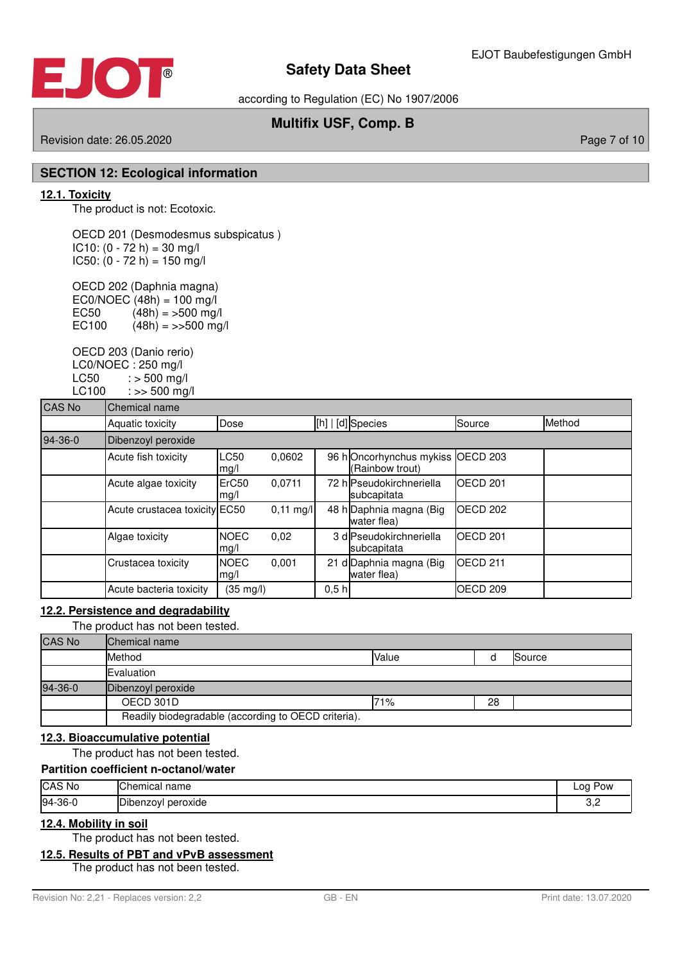

according to Regulation (EC) No 1907/2006

## **Multifix USF, Comp. B**

Revision date: 26.05.2020 **Page 7 of 10** New York 2012 12:00 Page 7 of 10

#### **SECTION 12: Ecological information**

#### **12 . 1 . Toxicity**

The product is not: Ecotoxic.

OECD 201 (Desmodesmus subspicatus )  $IC10: (0 - 72 h) = 30 mg/l$  $IC50: (0 - 72 h) = 150 mg/l$ 

OECD 202 (Daphnia magna) EC0/NOEC  $(48h) = 100$  mg/l<br>EC50  $(48h) = 500$  mg/ EC50  $(48h) = 500 \text{ mg/l}$ <br>EC100  $(48h) = 500 \text{ mg}$  $(48h) = >>500$  mg/l

OECD 203 (Danio rerio) LC0/NOEC : 250 mg/l  $LC50$  :  $> 500$  mg/l LC100 : >> 500 mg/l

| <b>CAS No</b> | Chemical name                 |                     |                     |      |                                            |                     |        |
|---------------|-------------------------------|---------------------|---------------------|------|--------------------------------------------|---------------------|--------|
|               | Aquatic toxicity              | Dose                |                     |      | [h]   [d] Species                          | Source              | Method |
| $94-36-0$     | Dibenzoyl peroxide            |                     |                     |      |                                            |                     |        |
|               | Acute fish toxicity           | <b>LC50</b><br>mg/l | 0.0602              |      | 96 hOncorhynchus mykiss<br>(Rainbow trout) | OECD <sub>203</sub> |        |
|               | Acute algae toxicity          | ErC50<br>mg/l       | 0.0711              |      | 72 h Pseudokirchneriella<br>subcapitata    | <b>IOECD 201</b>    |        |
|               | Acute crustacea toxicity EC50 |                     | $0,11 \text{ mg/l}$ |      | 48 h Daphnia magna (Big<br>water flea)     | OECD <sub>202</sub> |        |
|               | Algae toxicity                | <b>NOEC</b><br>mg/l | 0,02                |      | 3 dlPseudokirchneriella<br>subcapitata     | <b>IOECD 201</b>    |        |
|               | Crustacea toxicity            | <b>NOEC</b><br>mg/l | 0,001               |      | 21 d Daphnia magna (Big<br>water flea)     | OECD <sub>211</sub> |        |
|               | Acute bacteria toxicity       | $(35 \text{ mg/l})$ |                     | 0,5h |                                            | OECD <sub>209</sub> |        |

#### **12 . 2 . Persistence and degradability**

The product has not been tested.

| <b>CAS No</b> | <b>Chemical name</b>                                |       |    |        |
|---------------|-----------------------------------------------------|-------|----|--------|
|               | Method                                              | Value |    | Source |
|               | Evaluation                                          |       |    |        |
| 94-36-0       | Dibenzoyl peroxide                                  |       |    |        |
|               | OECD 301D                                           | 71%   | 28 |        |
|               | Readily biodegradable (according to OECD criteria). |       |    |        |

#### **12 . 3 . Bioaccumulative potential**

The product has not been tested.

## **Partition coefficient n-octanol/water**

| CAS No  | name<br>lChemical          | Log<br>Pow |
|---------|----------------------------|------------|
| 94-36-0 | .<br>peroxide<br>Dibenzoyl | ے, ب       |

#### **12 . 4 . Mobility in soil**

The product has not been tested.

#### **12 . 5 . Results of PBT and vPvB assessment**

The product has not been tested.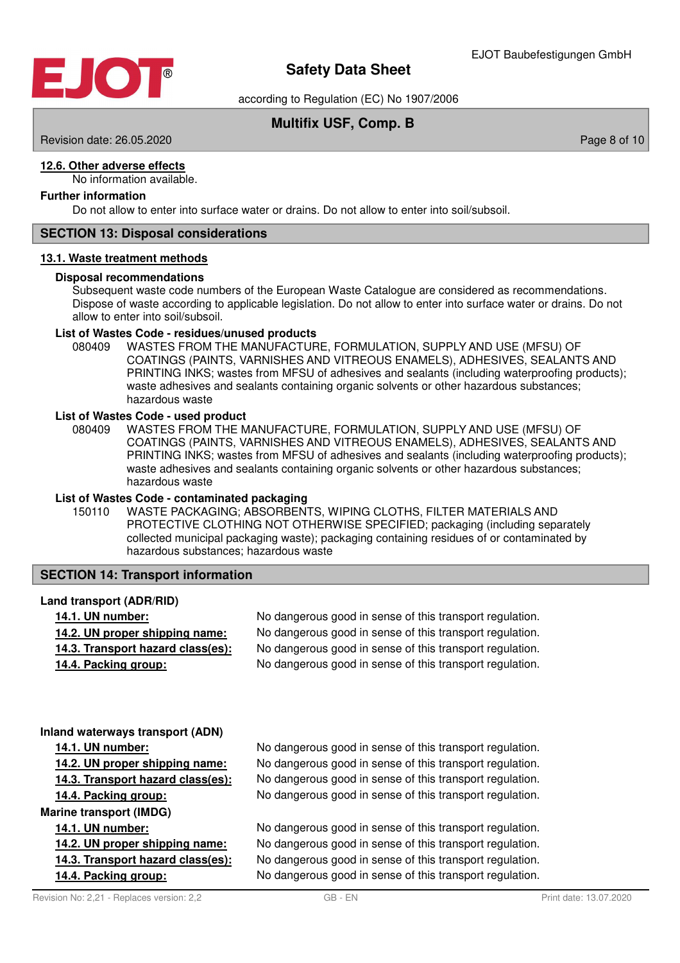

according to Regulation (EC) No 1907/2006

## **Multifix USF, Comp. B**

Revision date: 26.05.2020 **Page 8 of 10** 

#### **12 . 6 . Other adverse effects**

No information available.

### **Further information**

Do not allow to enter into surface water or drains. Do not allow to enter into soil/subsoil.

#### **SECTION 13: Disposal considerations**

#### **13 . 1 . Waste treatment methods**

#### **Disposal recommendations**

Subsequent waste code numbers of the European Waste Catalogue are considered as recommendations. Dispose of waste according to applicable legislation. Do not allow to enter into surface water or drains. Do not allow to enter into soil/subsoil.

#### **List of Wastes Code - residues/unused products**

080409 WASTES FROM THE MANUFACTURE, FORMULATION, SUPPLY AND USE (MFSU) OF COATINGS (PAINTS, VARNISHES AND VITREOUS ENAMELS), ADHESIVES, SEALANTS AND PRINTING INKS; wastes from MFSU of adhesives and sealants (including waterproofing products); waste adhesives and sealants containing organic solvents or other hazardous substances; hazardous waste

#### **List of Wastes Code - used product**

WASTES FROM THE MANUFACTURE, FORMULATION, SUPPLY AND USE (MFSU) OF COATINGS (PAINTS, VARNISHES AND VITREOUS ENAMELS), ADHESIVES, SEALANTS AND PRINTING INKS; wastes from MFSU of adhesives and sealants (including waterproofing products); waste adhesives and sealants containing organic solvents or other hazardous substances; hazardous waste 080409

#### **List of Wastes Code - contaminated packaging**

WASTE PACKAGING; ABSORBENTS, WIPING CLOTHS, FILTER MATERIALS AND PROTECTIVE CLOTHING NOT OTHERWISE SPECIFIED; packaging (including separately collected municipal packaging waste); packaging containing residues of or contaminated by hazardous substances; hazardous waste 150110

#### **SECTION 14: Transport information**

#### **Land transport (ADR/RID)**

**14.1. UN number:** No dangerous good in sense of this transport regulation. **14.2. UN proper shipping name:** No dangerous good in sense of this transport regulation. **14.3. Transport hazard class (es):** No dangerous good in sense of this transport regulation. **14.4. Packing group:** No dangerous good in sense of this transport regulation.

#### **Inland waterways transport (ADN)**

**Marine transport (IMDG)**

- 
- 
- 

**14.1. UN number:** No dangerous good in sense of this transport regulation. **14.2. UN proper shipping name:** No dangerous good in sense of this transport regulation. **14.3. Transport hazard class (es):** No dangerous good in sense of this transport regulation. **14.4. Packing group:** No dangerous good in sense of this transport regulation.

**14.1. UN number:** No dangerous good in sense of this transport regulation. **14.2. UN proper shipping name:** No dangerous good in sense of this transport regulation. **14.3. Transport hazard class (es):** No dangerous good in sense of this transport regulation. **14.4. Packing group:** No dangerous good in sense of this transport regulation.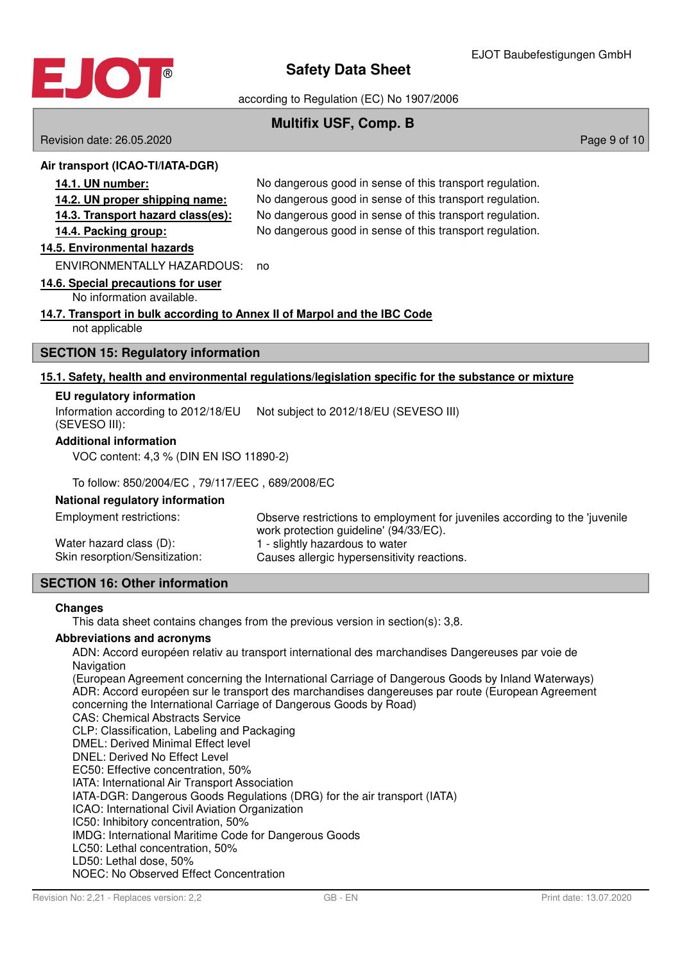

according to Regulation (EC) No 1907/2006

## **Multifix USF, Comp. B**

Revision date: 26.05.2020 **Page 9 of 10** New York 2010 12:00 Page 9 of 10

#### **Air transport (ICAO-TI/IATA-DGR)**

**14.1. UN number:** No dangerous good in sense of this transport regulation. **14.2. UN proper shipping name:** No dangerous good in sense of this transport regulation. **14.3. Transport hazard class (es):** No dangerous good in sense of this transport regulation. **14.4. Packing group:** No dangerous good in sense of this transport regulation.

#### **14 . 5 . Environmental hazards**

ENVIRONMENTALLY HAZARDOUS: no

#### **14 . 6 . Special precautions for user**

No information available.

#### **14 . 7 . Transport in bulk according to Annex II of Marpol and the IBC Code**

not applicable

#### **SECTION 15: Regulatory information**

#### **15 . 1 . Safety , health and environmental regulations / legislation specific for the substance or mixture**

#### **EU regulatory information**

Information according to 2012/18/EU Not subject to 2012/18/EU (SEVESO III) (SEVESO III):

#### **Additional information**

VOC content: 4,3 % (DIN EN ISO 11890-2)

#### To follow: 850/2004/EC , 79/117/EEC , 689/2008/EC

#### **National regulatory information**

| Employment restrictions:       | Observe restrictions to employment for juveniles according to the 'juvenile<br>work protection guideline' (94/33/EC). |
|--------------------------------|-----------------------------------------------------------------------------------------------------------------------|
| Water hazard class (D):        | 1 - slightly hazardous to water                                                                                       |
| Skin resorption/Sensitization: | Causes allergic hypersensitivity reactions.                                                                           |

## **SECTION 16: Other information**

#### **Changes**

This data sheet contains changes from the previous version in section(s): 3,8.

#### **Abbreviations and acronyms**

ADN: Accord européen relativ au transport international des marchandises Dangereuses par voie de **Navigation** 

(European Agreement concerning the International Carriage of Dangerous Goods by Inland Waterways) ADR: Accord européen sur le transport des marchandises dangereuses par route (European Agreement concerning the International Carriage of Dangerous Goods by Road)

CAS: Chemical Abstracts Service

CLP: Classification, Labeling and Packaging

DMEL: Derived Minimal Effect level

DNEL: Derived No Effect Level

EC50: Effective concentration, 50%

IATA: International Air Transport Association IATA-DGR: Dangerous Goods Regulations (DRG) for the air transport (IATA)

ICAO: International Civil Aviation Organization

IC50: Inhibitory concentration, 50%

IMDG: International Maritime Code for Dangerous Goods

- LC50: Lethal concentration, 50%
- LD50: Lethal dose, 50%

NOEC: No Observed Effect Concentration